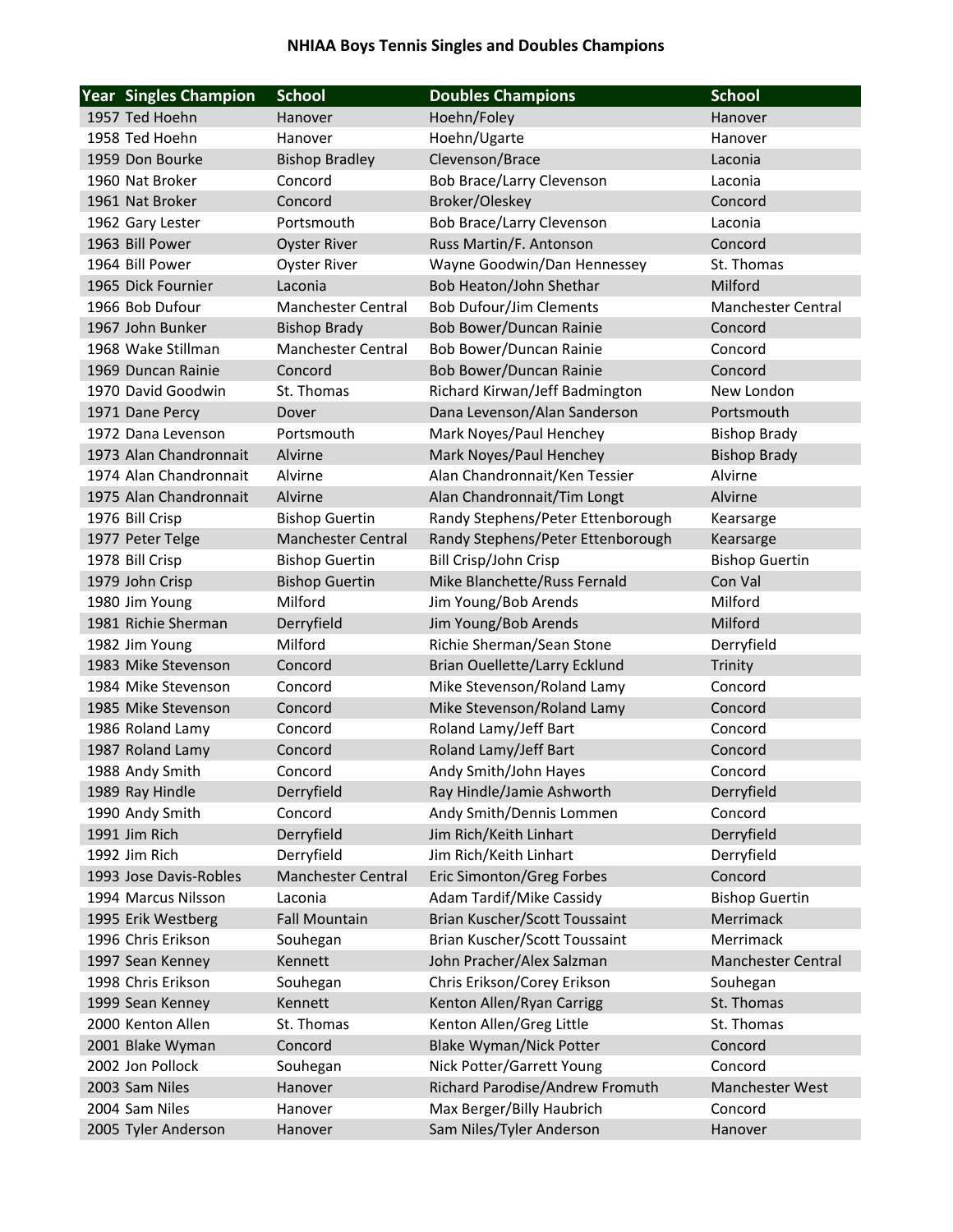## **NHIAA Boys Tennis Singles and Doubles Champions**

| <b>Year Singles Champion</b> | <b>School</b>             | <b>Doubles Champions</b>          | <b>School</b>             |
|------------------------------|---------------------------|-----------------------------------|---------------------------|
| 1957 Ted Hoehn               | Hanover                   | Hoehn/Foley                       | Hanover                   |
| 1958 Ted Hoehn               | Hanover                   | Hoehn/Ugarte                      | Hanover                   |
| 1959 Don Bourke              | <b>Bishop Bradley</b>     | Clevenson/Brace                   | Laconia                   |
| 1960 Nat Broker              | Concord                   | Bob Brace/Larry Clevenson         | Laconia                   |
| 1961 Nat Broker              | Concord                   | Broker/Oleskey                    | Concord                   |
| 1962 Gary Lester             | Portsmouth                | <b>Bob Brace/Larry Clevenson</b>  | Laconia                   |
| 1963 Bill Power              | <b>Oyster River</b>       | Russ Martin/F. Antonson           | Concord                   |
| 1964 Bill Power              | <b>Oyster River</b>       | Wayne Goodwin/Dan Hennessey       | St. Thomas                |
| 1965 Dick Fournier           | Laconia                   | Bob Heaton/John Shethar           | Milford                   |
| 1966 Bob Dufour              | <b>Manchester Central</b> | <b>Bob Dufour/Jim Clements</b>    | <b>Manchester Central</b> |
| 1967 John Bunker             | <b>Bishop Brady</b>       | Bob Bower/Duncan Rainie           | Concord                   |
| 1968 Wake Stillman           | Manchester Central        | Bob Bower/Duncan Rainie           | Concord                   |
| 1969 Duncan Rainie           | Concord                   | Bob Bower/Duncan Rainie           | Concord                   |
| 1970 David Goodwin           | St. Thomas                | Richard Kirwan/Jeff Badmington    | New London                |
| 1971 Dane Percy              | Dover                     | Dana Levenson/Alan Sanderson      | Portsmouth                |
| 1972 Dana Levenson           | Portsmouth                | Mark Noyes/Paul Henchey           | <b>Bishop Brady</b>       |
| 1973 Alan Chandronnait       | Alvirne                   | Mark Noyes/Paul Henchey           | <b>Bishop Brady</b>       |
| 1974 Alan Chandronnait       | Alvirne                   | Alan Chandronnait/Ken Tessier     | Alvirne                   |
| 1975 Alan Chandronnait       | Alvirne                   | Alan Chandronnait/Tim Longt       | Alvirne                   |
| 1976 Bill Crisp              | <b>Bishop Guertin</b>     | Randy Stephens/Peter Ettenborough | Kearsarge                 |
| 1977 Peter Telge             | <b>Manchester Central</b> | Randy Stephens/Peter Ettenborough | Kearsarge                 |
| 1978 Bill Crisp              | <b>Bishop Guertin</b>     | Bill Crisp/John Crisp             | <b>Bishop Guertin</b>     |
| 1979 John Crisp              | <b>Bishop Guertin</b>     | Mike Blanchette/Russ Fernald      | Con Val                   |
| 1980 Jim Young               | Milford                   | Jim Young/Bob Arends              | Milford                   |
| 1981 Richie Sherman          | Derryfield                | Jim Young/Bob Arends              | Milford                   |
| 1982 Jim Young               | Milford                   | Richie Sherman/Sean Stone         | Derryfield                |
| 1983 Mike Stevenson          | Concord                   | Brian Ouellette/Larry Ecklund     | Trinity                   |
| 1984 Mike Stevenson          | Concord                   | Mike Stevenson/Roland Lamy        | Concord                   |
| 1985 Mike Stevenson          | Concord                   | Mike Stevenson/Roland Lamy        | Concord                   |
| 1986 Roland Lamy             | Concord                   | Roland Lamy/Jeff Bart             | Concord                   |
| 1987 Roland Lamy             | Concord                   | Roland Lamy/Jeff Bart             | Concord                   |
| 1988 Andy Smith              | Concord                   | Andy Smith/John Hayes             | Concord                   |
| 1989 Ray Hindle              | Derryfield                | Ray Hindle/Jamie Ashworth         | Derryfield                |
| 1990 Andy Smith              | Concord                   | Andy Smith/Dennis Lommen          | Concord                   |
| 1991 Jim Rich                | Derryfield                | Jim Rich/Keith Linhart            | Derryfield                |
| 1992 Jim Rich                | Derryfield                | Jim Rich/Keith Linhart            | Derryfield                |
| 1993 Jose Davis-Robles       | <b>Manchester Central</b> | Eric Simonton/Greg Forbes         | Concord                   |
| 1994 Marcus Nilsson          | Laconia                   | Adam Tardif/Mike Cassidy          | <b>Bishop Guertin</b>     |
| 1995 Erik Westberg           | <b>Fall Mountain</b>      | Brian Kuscher/Scott Toussaint     | Merrimack                 |
| 1996 Chris Erikson           | Souhegan                  | Brian Kuscher/Scott Toussaint     | Merrimack                 |
| 1997 Sean Kenney             | Kennett                   | John Pracher/Alex Salzman         | Manchester Central        |
| 1998 Chris Erikson           | Souhegan                  | Chris Erikson/Corey Erikson       | Souhegan                  |
| 1999 Sean Kenney             | Kennett                   | Kenton Allen/Ryan Carrigg         | St. Thomas                |
| 2000 Kenton Allen            | St. Thomas                | Kenton Allen/Greg Little          | St. Thomas                |
| 2001 Blake Wyman             | Concord                   | <b>Blake Wyman/Nick Potter</b>    | Concord                   |
| 2002 Jon Pollock             | Souhegan                  | Nick Potter/Garrett Young         | Concord                   |
| 2003 Sam Niles               | Hanover                   | Richard Parodise/Andrew Fromuth   | Manchester West           |
| 2004 Sam Niles               | Hanover                   | Max Berger/Billy Haubrich         | Concord                   |
| 2005 Tyler Anderson          | Hanover                   | Sam Niles/Tyler Anderson          | Hanover                   |